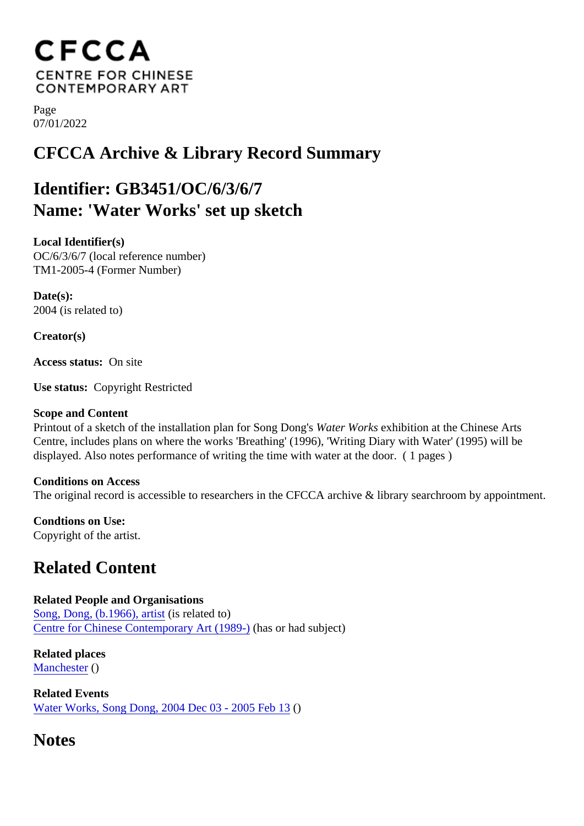Page 07/01/2022

## CFCCA Archive & Library Record Summary

## Identifier: GB3451/OC/6/3/6/7 Name: 'Water Works' set up sketch

Local Identifier(s) OC/6/3/6/7 (local reference number) TM1-2005-4 (Former Number)

Date(s): 2004 (is related to)

Creator(s)

Access status: On site

Use status: Copyright Restricted

Scope and Content

Printout of a sketch of the installation plan for Song Dompton Works exhibition at the Chinese Arts Centre, includes plans on where the works 'Breathing' (1996), 'Writing Diary with Water' (1995) will be displayed. Also notes performance of writing the time with water at the door. ( 1 pages )

Conditions on Access The original record is accessible to researchers in the CFCCA archive & library searchrappoibyment.

Condtions on Use: Copyright of the artist.

## Related Content

Related People and Organisations [Song, Dong, \(b.1966\), art](/index.php/Detail/entities/214)igit related to) [Centre for Chinese Contemporary Art \(198](/index.php/Detail/entities/2)9)as or had subject)

Related places [Mancheste](/index.php/Detail/places/5)r()

Related Events [Water Works, Song Dong, 2004 Dec 03 - 2005 Fe](/index.php/Detail/occurrences/581)b13

**Notes**